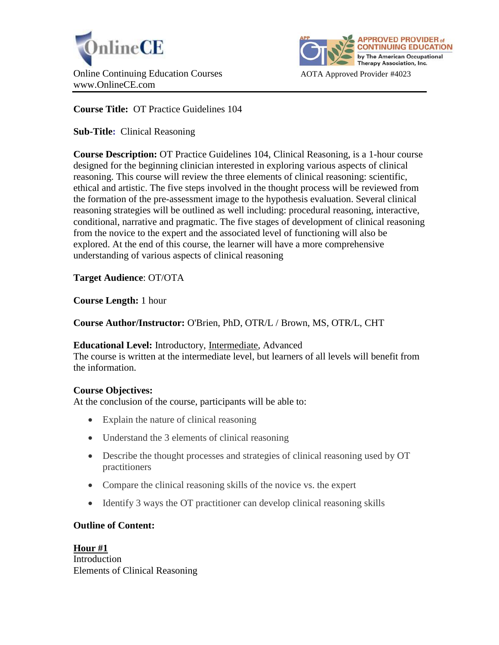



# **Course Title:** OT Practice Guidelines 104

**Sub-Title:** Clinical Reasoning

**Course Description:** OT Practice Guidelines 104, Clinical Reasoning, is a 1-hour course designed for the beginning clinician interested in exploring various aspects of clinical reasoning. This course will review the three elements of clinical reasoning: scientific, ethical and artistic. The five steps involved in the thought process will be reviewed from the formation of the pre-assessment image to the hypothesis evaluation. Several clinical reasoning strategies will be outlined as well including: procedural reasoning, interactive, conditional, narrative and pragmatic. The five stages of development of clinical reasoning from the novice to the expert and the associated level of functioning will also be explored. At the end of this course, the learner will have a more comprehensive understanding of various aspects of clinical reasoning

**Target Audience**: OT/OTA

**Course Length:** 1 hour

**Course Author/Instructor:** O'Brien, PhD, OTR/L / Brown, MS, OTR/L, CHT

#### **Educational Level:** Introductory, Intermediate, Advanced

The course is written at the intermediate level, but learners of all levels will benefit from the information.

#### **Course Objectives:**

At the conclusion of the course, participants will be able to:

- Explain the nature of clinical reasoning
- Understand the 3 elements of clinical reasoning
- Describe the thought processes and strategies of clinical reasoning used by OT practitioners
- Compare the clinical reasoning skills of the novice vs. the expert
- Identify 3 ways the OT practitioner can develop clinical reasoning skills

# **Outline of Content:**

**Hour #1** Introduction Elements of Clinical Reasoning